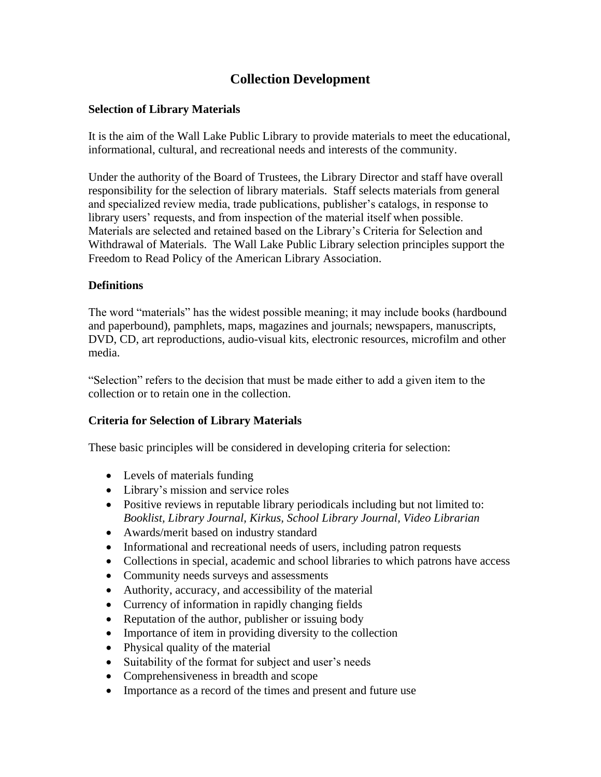# **Collection Development**

## **Selection of Library Materials**

It is the aim of the Wall Lake Public Library to provide materials to meet the educational, informational, cultural, and recreational needs and interests of the community.

Under the authority of the Board of Trustees, the Library Director and staff have overall responsibility for the selection of library materials. Staff selects materials from general and specialized review media, trade publications, publisher's catalogs, in response to library users' requests, and from inspection of the material itself when possible. Materials are selected and retained based on the Library's Criteria for Selection and Withdrawal of Materials. The Wall Lake Public Library selection principles support the Freedom to Read Policy of the American Library Association.

## **Definitions**

The word "materials" has the widest possible meaning; it may include books (hardbound and paperbound), pamphlets, maps, magazines and journals; newspapers, manuscripts, DVD, CD, art reproductions, audio-visual kits, electronic resources, microfilm and other media.

"Selection" refers to the decision that must be made either to add a given item to the collection or to retain one in the collection.

#### **Criteria for Selection of Library Materials**

These basic principles will be considered in developing criteria for selection:

- Levels of materials funding
- Library's mission and service roles
- Positive reviews in reputable library periodicals including but not limited to: *Booklist, Library Journal, Kirkus, School Library Journal, Video Librarian*
- Awards/merit based on industry standard
- Informational and recreational needs of users, including patron requests
- Collections in special, academic and school libraries to which patrons have access
- Community needs surveys and assessments
- Authority, accuracy, and accessibility of the material
- Currency of information in rapidly changing fields
- Reputation of the author, publisher or issuing body
- Importance of item in providing diversity to the collection
- Physical quality of the material
- Suitability of the format for subject and user's needs
- Comprehensiveness in breadth and scope
- Importance as a record of the times and present and future use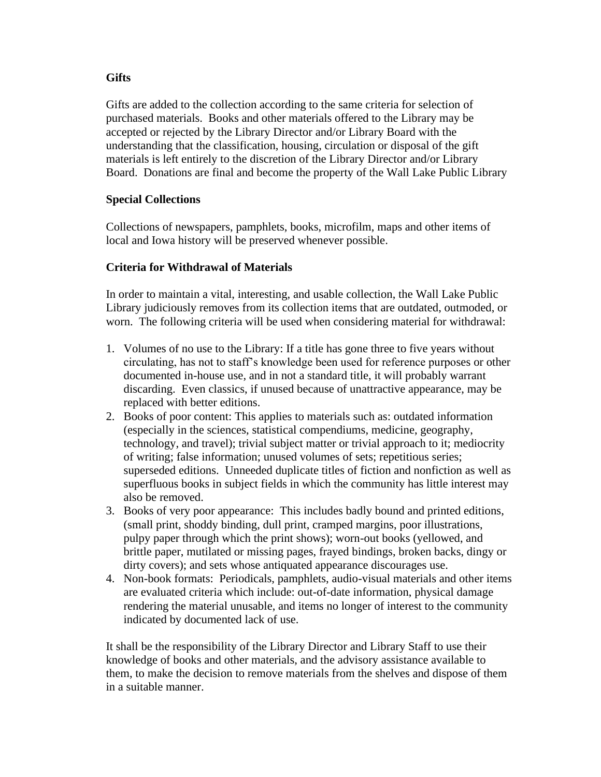## **Gifts**

Gifts are added to the collection according to the same criteria for selection of purchased materials. Books and other materials offered to the Library may be accepted or rejected by the Library Director and/or Library Board with the understanding that the classification, housing, circulation or disposal of the gift materials is left entirely to the discretion of the Library Director and/or Library Board. Donations are final and become the property of the Wall Lake Public Library

## **Special Collections**

Collections of newspapers, pamphlets, books, microfilm, maps and other items of local and Iowa history will be preserved whenever possible.

## **Criteria for Withdrawal of Materials**

In order to maintain a vital, interesting, and usable collection, the Wall Lake Public Library judiciously removes from its collection items that are outdated, outmoded, or worn. The following criteria will be used when considering material for withdrawal:

- 1. Volumes of no use to the Library: If a title has gone three to five years without circulating, has not to staff's knowledge been used for reference purposes or other documented in-house use, and in not a standard title, it will probably warrant discarding. Even classics, if unused because of unattractive appearance, may be replaced with better editions.
- 2. Books of poor content: This applies to materials such as: outdated information (especially in the sciences, statistical compendiums, medicine, geography, technology, and travel); trivial subject matter or trivial approach to it; mediocrity of writing; false information; unused volumes of sets; repetitious series; superseded editions. Unneeded duplicate titles of fiction and nonfiction as well as superfluous books in subject fields in which the community has little interest may also be removed.
- 3. Books of very poor appearance: This includes badly bound and printed editions, (small print, shoddy binding, dull print, cramped margins, poor illustrations, pulpy paper through which the print shows); worn-out books (yellowed, and brittle paper, mutilated or missing pages, frayed bindings, broken backs, dingy or dirty covers); and sets whose antiquated appearance discourages use.
- 4. Non-book formats: Periodicals, pamphlets, audio-visual materials and other items are evaluated criteria which include: out-of-date information, physical damage rendering the material unusable, and items no longer of interest to the community indicated by documented lack of use.

It shall be the responsibility of the Library Director and Library Staff to use their knowledge of books and other materials, and the advisory assistance available to them, to make the decision to remove materials from the shelves and dispose of them in a suitable manner.